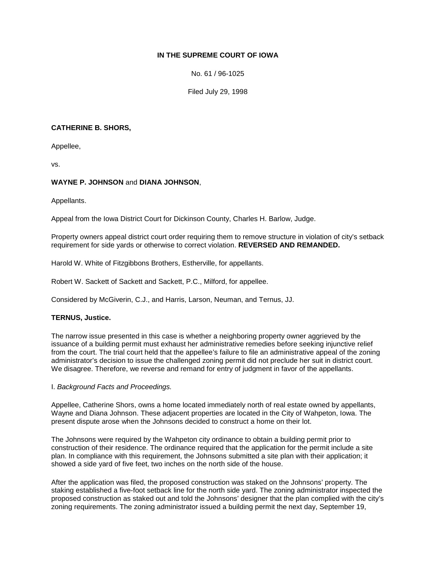# **IN THE SUPREME COURT OF IOWA**

No. 61 / 96-1025

Filed July 29, 1998

## **CATHERINE B. SHORS,**

Appellee,

vs.

# **WAYNE P. JOHNSON** and **DIANA JOHNSON**,

Appellants.

Appeal from the Iowa District Court for Dickinson County, Charles H. Barlow, Judge.

Property owners appeal district court order requiring them to remove structure in violation of city's setback requirement for side yards or otherwise to correct violation. **REVERSED AND REMANDED.**

Harold W. White of Fitzgibbons Brothers, Estherville, for appellants.

Robert W. Sackett of Sackett and Sackett, P.C., Milford, for appellee.

Considered by McGiverin, C.J., and Harris, Larson, Neuman, and Ternus, JJ.

## **TERNUS, Justice.**

The narrow issue presented in this case is whether a neighboring property owner aggrieved by the issuance of a building permit must exhaust her administrative remedies before seeking injunctive relief from the court. The trial court held that the appellee's failure to file an administrative appeal of the zoning administrator's decision to issue the challenged zoning permit did not preclude her suit in district court. We disagree. Therefore, we reverse and remand for entry of judgment in favor of the appellants.

## I. *Background Facts and Proceedings.*

Appellee, Catherine Shors, owns a home located immediately north of real estate owned by appellants, Wayne and Diana Johnson. These adjacent properties are located in the City of Wahpeton, Iowa. The present dispute arose when the Johnsons decided to construct a home on their lot.

The Johnsons were required by the Wahpeton city ordinance to obtain a building permit prior to construction of their residence. The ordinance required that the application for the permit include a site plan. In compliance with this requirement, the Johnsons submitted a site plan with their application; it showed a side yard of five feet, two inches on the north side of the house.

After the application was filed, the proposed construction was staked on the Johnsons' property. The staking established a five-foot setback line for the north side yard. The zoning administrator inspected the proposed construction as staked out and told the Johnsons' designer that the plan complied with the city's zoning requirements. The zoning administrator issued a building permit the next day, September 19,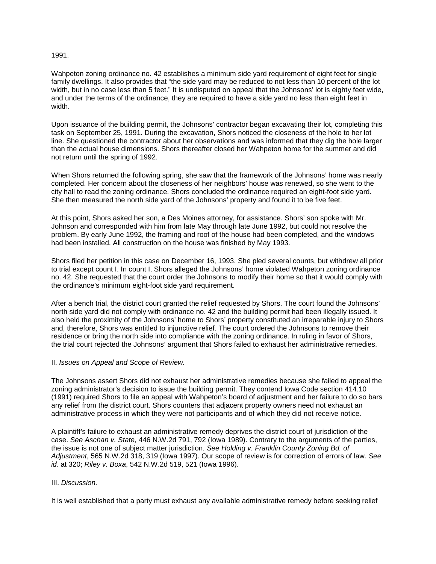#### 1991.

Wahpeton zoning ordinance no. 42 establishes a minimum side yard requirement of eight feet for single family dwellings. It also provides that "the side yard may be reduced to not less than 10 percent of the lot width, but in no case less than 5 feet." It is undisputed on appeal that the Johnsons' lot is eighty feet wide, and under the terms of the ordinance, they are required to have a side yard no less than eight feet in width.

Upon issuance of the building permit, the Johnsons' contractor began excavating their lot, completing this task on September 25, 1991. During the excavation, Shors noticed the closeness of the hole to her lot line. She questioned the contractor about her observations and was informed that they dig the hole larger than the actual house dimensions. Shors thereafter closed her Wahpeton home for the summer and did not return until the spring of 1992.

When Shors returned the following spring, she saw that the framework of the Johnsons' home was nearly completed. Her concern about the closeness of her neighbors' house was renewed, so she went to the city hall to read the zoning ordinance. Shors concluded the ordinance required an eight-foot side yard. She then measured the north side yard of the Johnsons' property and found it to be five feet.

At this point, Shors asked her son, a Des Moines attorney, for assistance. Shors' son spoke with Mr. Johnson and corresponded with him from late May through late June 1992, but could not resolve the problem. By early June 1992, the framing and roof of the house had been completed, and the windows had been installed. All construction on the house was finished by May 1993.

Shors filed her petition in this case on December 16, 1993. She pled several counts, but withdrew all prior to trial except count I. In count I, Shors alleged the Johnsons' home violated Wahpeton zoning ordinance no. 42. She requested that the court order the Johnsons to modify their home so that it would comply with the ordinance's minimum eight-foot side yard requirement.

After a bench trial, the district court granted the relief requested by Shors. The court found the Johnsons' north side yard did not comply with ordinance no. 42 and the building permit had been illegally issued. It also held the proximity of the Johnsons' home to Shors' property constituted an irreparable injury to Shors and, therefore, Shors was entitled to injunctive relief. The court ordered the Johnsons to remove their residence or bring the north side into compliance with the zoning ordinance. In ruling in favor of Shors, the trial court rejected the Johnsons' argument that Shors failed to exhaust her administrative remedies.

## II. *Issues on Appeal and Scope of Review.*

The Johnsons assert Shors did not exhaust her administrative remedies because she failed to appeal the zoning administrator's decision to issue the building permit. They contend Iowa Code section 414.10 (1991) required Shors to file an appeal with Wahpeton's board of adjustment and her failure to do so bars any relief from the district court. Shors counters that adjacent property owners need not exhaust an administrative process in which they were not participants and of which they did not receive notice.

A plaintiff's failure to exhaust an administrative remedy deprives the district court of jurisdiction of the case. *See Aschan v. State,* 446 N.W.2d 791, 792 (Iowa 1989). Contrary to the arguments of the parties, the issue is not one of subject matter jurisdiction. *See Holding v. Franklin County Zoning Bd. of Adjustment*, 565 N.W.2d 318, 319 (Iowa 1997). Our scope of review is for correction of errors of law. *See id.* at 320; *Riley v. Boxa*, 542 N.W.2d 519, 521 (Iowa 1996).

# III. *Discussion.*

It is well established that a party must exhaust any available administrative remedy before seeking relief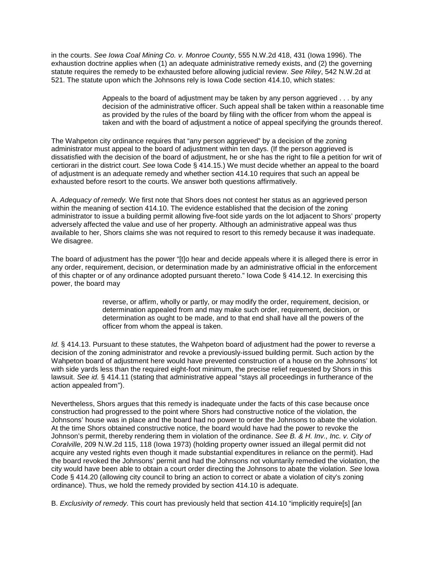in the courts. *See Iowa Coal Mining Co. v. Monroe County*, 555 N.W.2d 418, 431 (Iowa 1996). The exhaustion doctrine applies when (1) an adequate administrative remedy exists, and (2) the governing statute requires the remedy to be exhausted before allowing judicial review. *See Riley*, 542 N.W.2d at 521. The statute upon which the Johnsons rely is Iowa Code section 414.10, which states:

> Appeals to the board of adjustment may be taken by any person aggrieved . . . by any decision of the administrative officer. Such appeal shall be taken within a reasonable time as provided by the rules of the board by filing with the officer from whom the appeal is taken and with the board of adjustment a notice of appeal specifying the grounds thereof.

The Wahpeton city ordinance requires that "any person aggrieved" by a decision of the zoning administrator must appeal to the board of adjustment within ten days. (If the person aggrieved is dissatisfied with the decision of the board of adjustment, he or she has the right to file a petition for writ of certiorari in the district court. *See* Iowa Code § 414.15.) We must decide whether an appeal to the board of adjustment is an adequate remedy and whether section 414.10 requires that such an appeal be exhausted before resort to the courts. We answer both questions affirmatively.

A. *Adequacy of remedy.* We first note that Shors does not contest her status as an aggrieved person within the meaning of section 414.10. The evidence established that the decision of the zoning administrator to issue a building permit allowing five-foot side yards on the lot adjacent to Shors' property adversely affected the value and use of her property. Although an administrative appeal was thus available to her, Shors claims she was not required to resort to this remedy because it was inadequate. We disagree.

The board of adjustment has the power "[t]o hear and decide appeals where it is alleged there is error in any order, requirement, decision, or determination made by an administrative official in the enforcement of this chapter or of any ordinance adopted pursuant thereto." Iowa Code § 414.12. In exercising this power, the board may

> reverse, or affirm, wholly or partly, or may modify the order, requirement, decision, or determination appealed from and may make such order, requirement, decision, or determination as ought to be made, and to that end shall have all the powers of the officer from whom the appeal is taken.

*Id.* § 414.13. Pursuant to these statutes, the Wahpeton board of adjustment had the power to reverse a decision of the zoning administrator and revoke a previously-issued building permit. Such action by the Wahpeton board of adjustment here would have prevented construction of a house on the Johnsons' lot with side yards less than the required eight-foot minimum, the precise relief requested by Shors in this lawsuit. *See id.* § 414.11 (stating that administrative appeal "stays all proceedings in furtherance of the action appealed from").

Nevertheless, Shors argues that this remedy is inadequate under the facts of this case because once construction had progressed to the point where Shors had constructive notice of the violation, the Johnsons' house was in place and the board had no power to order the Johnsons to abate the violation. At the time Shors obtained constructive notice, the board would have had the power to revoke the Johnson's permit, thereby rendering them in violation of the ordinance. *See B. & H. Inv., Inc. v. City of Coralville*, 209 N.W.2d 115, 118 (Iowa 1973) (holding property owner issued an illegal permit did not acquire any vested rights even though it made substantial expenditures in reliance on the permit). Had the board revoked the Johnsons' permit and had the Johnsons not voluntarily remedied the violation, the city would have been able to obtain a court order directing the Johnsons to abate the violation. *See* Iowa Code § 414.20 (allowing city council to bring an action to correct or abate a violation of city's zoning ordinance). Thus, we hold the remedy provided by section 414.10 is adequate.

B. *Exclusivity of remedy.* This court has previously held that section 414.10 "implicitly require[s] [an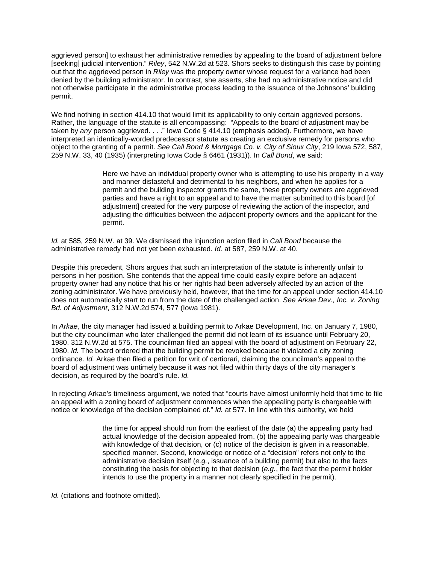aggrieved person] to exhaust her administrative remedies by appealing to the board of adjustment before [seeking] judicial intervention." *Riley*, 542 N.W.2d at 523. Shors seeks to distinguish this case by pointing out that the aggrieved person in *Riley* was the property owner whose request for a variance had been denied by the building administrator. In contrast, she asserts, she had no administrative notice and did not otherwise participate in the administrative process leading to the issuance of the Johnsons' building permit.

We find nothing in section 414.10 that would limit its applicability to only certain aggrieved persons. Rather, the language of the statute is all encompassing: "Appeals to the board of adjustment may be taken by *any* person aggrieved. . . ." Iowa Code § 414.10 (emphasis added). Furthermore, we have interpreted an identically-worded predecessor statute as creating an exclusive remedy for persons who object to the granting of a permit. *See Call Bond & Mortgage Co. v. City of Sioux City*, 219 Iowa 572, 587, 259 N.W. 33, 40 (1935) (interpreting Iowa Code § 6461 (1931)). In *Call Bond*, we said:

> Here we have an individual property owner who is attempting to use his property in a way and manner distasteful and detrimental to his neighbors, and when he applies for a permit and the building inspector grants the same, these property owners are aggrieved parties and have a right to an appeal and to have the matter submitted to this board [of adjustment] created for the very purpose of reviewing the action of the inspector, and adjusting the difficulties between the adjacent property owners and the applicant for the permit.

*Id.* at 585, 259 N.W. at 39. We dismissed the injunction action filed in *Call Bond* because the administrative remedy had not yet been exhausted. *Id.* at 587, 259 N.W. at 40.

Despite this precedent, Shors argues that such an interpretation of the statute is inherently unfair to persons in her position. She contends that the appeal time could easily expire before an adjacent property owner had any notice that his or her rights had been adversely affected by an action of the zoning administrator. We have previously held, however, that the time for an appeal under section 414.10 does not automatically start to run from the date of the challenged action. *See Arkae Dev., Inc. v. Zoning Bd. of Adjustment*, 312 N.W.2d 574, 577 (Iowa 1981).

In *Arkae*, the city manager had issued a building permit to Arkae Development, Inc. on January 7, 1980, but the city councilman who later challenged the permit did not learn of its issuance until February 20, 1980. 312 N.W.2d at 575. The councilman filed an appeal with the board of adjustment on February 22, 1980. *Id.* The board ordered that the building permit be revoked because it violated a city zoning ordinance. *Id.* Arkae then filed a petition for writ of certiorari, claiming the councilman's appeal to the board of adjustment was untimely because it was not filed within thirty days of the city manager's decision, as required by the board's rule. *Id.*

In rejecting Arkae's timeliness argument, we noted that "courts have almost uniformly held that time to file an appeal with a zoning board of adjustment commences when the appealing party is chargeable with notice or knowledge of the decision complained of." *Id.* at 577. In line with this authority, we held

> the time for appeal should run from the earliest of the date (a) the appealing party had actual knowledge of the decision appealed from, (b) the appealing party was chargeable with knowledge of that decision, or (c) notice of the decision is given in a reasonable, specified manner. Second, knowledge or notice of a "decision" refers not only to the administrative decision itself (*e.g.*, issuance of a building permit) but also to the facts constituting the basis for objecting to that decision (*e.g.*, the fact that the permit holder intends to use the property in a manner not clearly specified in the permit).

*Id.* (citations and footnote omitted).